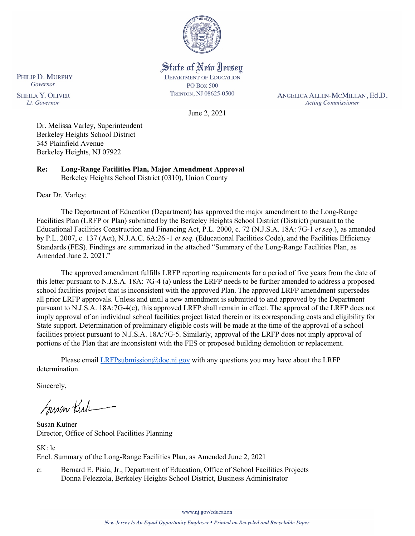

State of New Jersey **DEPARTMENT OF EDUCATION PO Box 500** TRENTON, NJ 08625-0500

June 2, 2021

ANGELICA ALLEN-MCMILLAN, Ed.D. **Acting Commissioner** 

**SHEILA Y. OLIVER** Lt. Governor

PHILIP D. MURPHY Governor

> Dr. Melissa Varley, Superintendent Berkeley Heights School District 345 Plainfield Avenue Berkeley Heights, NJ 07922

**Re: Long-Range Facilities Plan, Major Amendment Approval**  Berkeley Heights School District (0310), Union County

Dear Dr. Varley:

The Department of Education (Department) has approved the major amendment to the Long-Range Facilities Plan (LRFP or Plan) submitted by the Berkeley Heights School District (District) pursuant to the Educational Facilities Construction and Financing Act, P.L. 2000, c. 72 (N.J.S.A. 18A: 7G-1 *et seq.*), as amended by P.L. 2007, c. 137 (Act), N.J.A.C. 6A:26 -1 *et seq.* (Educational Facilities Code), and the Facilities Efficiency Standards (FES). Findings are summarized in the attached "Summary of the Long-Range Facilities Plan, as Amended June 2, 2021."

The approved amendment fulfills LRFP reporting requirements for a period of five years from the date of this letter pursuant to N.J.S.A. 18A: 7G-4 (a) unless the LRFP needs to be further amended to address a proposed school facilities project that is inconsistent with the approved Plan. The approved LRFP amendment supersedes all prior LRFP approvals. Unless and until a new amendment is submitted to and approved by the Department pursuant to N.J.S.A. 18A:7G-4(c), this approved LRFP shall remain in effect. The approval of the LRFP does not imply approval of an individual school facilities project listed therein or its corresponding costs and eligibility for State support. Determination of preliminary eligible costs will be made at the time of the approval of a school facilities project pursuant to N.J.S.A. 18A:7G-5. Similarly, approval of the LRFP does not imply approval of portions of the Plan that are inconsistent with the FES or proposed building demolition or replacement.

Please email [LRFPsubmission@doe.nj.gov](mailto:LRFPsubmission@doe.nj.gov) with any questions you may have about the LRFP determination.

Sincerely,

Susan Kich

Susan Kutner Director, Office of School Facilities Planning

SK: lc Encl. Summary of the Long-Range Facilities Plan, as Amended June 2, 2021

c: Bernard E. Piaia, Jr., Department of Education, Office of School Facilities Projects Donna Felezzola, Berkeley Heights School District, Business Administrator

www.nj.gov/education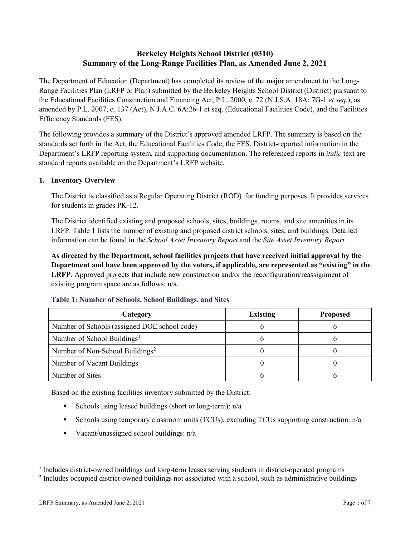## **Berkeley Heights School District (0310) Summary of the Long-Range Facilities Plan, as Amended June 2, 2021**

The Department of Education (Department) has completed its review of the major amendment to the Long-Range Facilities Plan (LRFP or Plan) submitted by the Berkeley Heights School District (District) pursuant to the Educational Facilities Construction and Financing Act, P.L. 2000, c. 72 (N.J.S.A. 18A: 7G-1 *et seq.*), as amended by P.L. 2007, c. 137 (Act), N.J.A.C. 6A:26-1 et seq. (Educational Facilities Code), and the Facilities Efficiency Standards (FES).

The following provides a summary of the District's approved amended LRFP. The summary is based on the standards set forth in the Act, the Educational Facilities Code, the FES, District-reported information in the Department's LRFP reporting system, and supporting documentation. The referenced reports in *italic* text are standard reports available on the Department's LRFP website.

#### **1. Inventory Overview**

The District is classified as a Regular Operating District (ROD) for funding purposes. It provides services for students in grades PK-12.

The District identified existing and proposed schools, sites, buildings, rooms, and site amenities in its LRFP. Table 1 lists the number of existing and proposed district schools, sites, and buildings. Detailed information can be found in the *School Asset Inventory Report* and the *Site Asset Inventory Report.*

**As directed by the Department, school facilities projects that have received initial approval by the Department and have been approved by the voters, if applicable, are represented as "existing" in the LRFP.** Approved projects that include new construction and/or the reconfiguration/reassignment of existing program space are as follows: n/a.

| Category                                     | <b>Existing</b> | <b>Proposed</b> |
|----------------------------------------------|-----------------|-----------------|
| Number of Schools (assigned DOE school code) |                 |                 |
| Number of School Buildings <sup>1</sup>      |                 |                 |
| Number of Non-School Buildings <sup>2</sup>  |                 |                 |
| Number of Vacant Buildings                   |                 |                 |
| Number of Sites                              |                 |                 |

#### **Table 1: Number of Schools, School Buildings, and Sites**

Based on the existing facilities inventory submitted by the District:

- Schools using leased buildings (short or long-term):  $n/a$
- Schools using temporary classroom units (TCUs), excluding TCUs supporting construction: n/a
- Vacant/unassigned school buildings:  $n/a$

 $\overline{a}$ 

<span id="page-1-1"></span><span id="page-1-0"></span>*<sup>1</sup>* Includes district-owned buildings and long-term leases serving students in district-operated programs

<sup>&</sup>lt;sup>2</sup> Includes occupied district-owned buildings not associated with a school, such as administrative buildings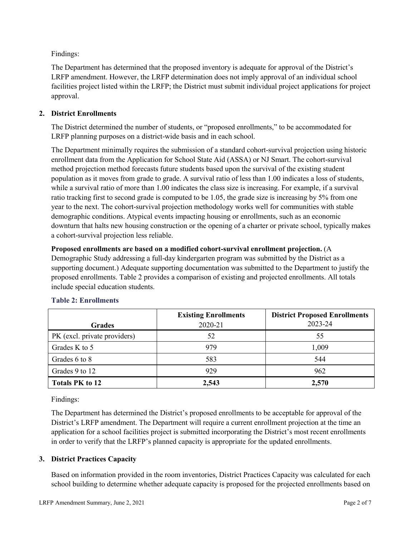Findings:

The Department has determined that the proposed inventory is adequate for approval of the District's LRFP amendment. However, the LRFP determination does not imply approval of an individual school facilities project listed within the LRFP; the District must submit individual project applications for project approval.

### **2. District Enrollments**

The District determined the number of students, or "proposed enrollments," to be accommodated for LRFP planning purposes on a district-wide basis and in each school.

The Department minimally requires the submission of a standard cohort-survival projection using historic enrollment data from the Application for School State Aid (ASSA) or NJ Smart. The cohort-survival method projection method forecasts future students based upon the survival of the existing student population as it moves from grade to grade. A survival ratio of less than 1.00 indicates a loss of students, while a survival ratio of more than 1.00 indicates the class size is increasing. For example, if a survival ratio tracking first to second grade is computed to be 1.05, the grade size is increasing by 5% from one year to the next. The cohort-survival projection methodology works well for communities with stable demographic conditions. Atypical events impacting housing or enrollments, such as an economic downturn that halts new housing construction or the opening of a charter or private school, typically makes a cohort-survival projection less reliable.

#### **Proposed enrollments are based on a modified cohort-survival enrollment projection.** (A

Demographic Study addressing a full-day kindergarten program was submitted by the District as a supporting document.) Adequate supporting documentation was submitted to the Department to justify the proposed enrollments. Table 2 provides a comparison of existing and projected enrollments. All totals include special education students.

| <b>Grades</b>                | <b>Existing Enrollments</b><br>2020-21 | <b>District Proposed Enrollments</b><br>2023-24 |
|------------------------------|----------------------------------------|-------------------------------------------------|
|                              |                                        |                                                 |
| PK (excl. private providers) | 52                                     | 55                                              |
| Grades K to 5                | 979                                    | 1,009                                           |
| Grades 6 to 8                | 583                                    | 544                                             |
| Grades 9 to 12               | 929                                    | 962                                             |
| <b>Totals PK to 12</b>       | 2,543                                  | 2,570                                           |

#### **Table 2: Enrollments**

Findings:

The Department has determined the District's proposed enrollments to be acceptable for approval of the District's LRFP amendment. The Department will require a current enrollment projection at the time an application for a school facilities project is submitted incorporating the District's most recent enrollments in order to verify that the LRFP's planned capacity is appropriate for the updated enrollments.

#### **3. District Practices Capacity**

Based on information provided in the room inventories, District Practices Capacity was calculated for each school building to determine whether adequate capacity is proposed for the projected enrollments based on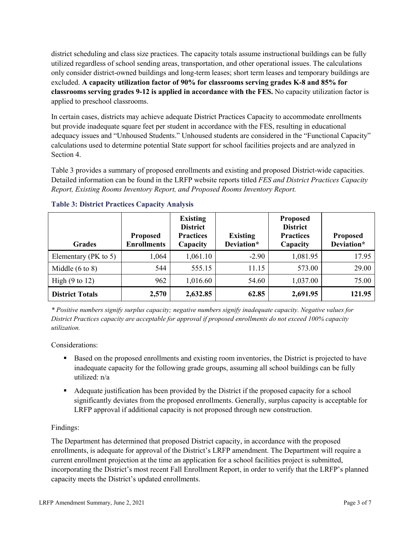district scheduling and class size practices. The capacity totals assume instructional buildings can be fully utilized regardless of school sending areas, transportation, and other operational issues. The calculations only consider district-owned buildings and long-term leases; short term leases and temporary buildings are excluded. **A capacity utilization factor of 90% for classrooms serving grades K-8 and 85% for classrooms serving grades 9-12 is applied in accordance with the FES.** No capacity utilization factor is applied to preschool classrooms.

In certain cases, districts may achieve adequate District Practices Capacity to accommodate enrollments but provide inadequate square feet per student in accordance with the FES, resulting in educational adequacy issues and "Unhoused Students." Unhoused students are considered in the "Functional Capacity" calculations used to determine potential State support for school facilities projects and are analyzed in Section 4.

Table 3 provides a summary of proposed enrollments and existing and proposed District-wide capacities. Detailed information can be found in the LRFP website reports titled *FES and District Practices Capacity Report, Existing Rooms Inventory Report, and Proposed Rooms Inventory Report.*

| <b>Grades</b>              | <b>Proposed</b><br><b>Enrollments</b> | <b>Existing</b><br><b>District</b><br><b>Practices</b><br>Capacity | <b>Existing</b><br>Deviation* | <b>Proposed</b><br><b>District</b><br><b>Practices</b><br>Capacity | <b>Proposed</b><br>Deviation* |
|----------------------------|---------------------------------------|--------------------------------------------------------------------|-------------------------------|--------------------------------------------------------------------|-------------------------------|
| Elementary ( $PK$ to 5)    | 1,064                                 | 1,061.10                                                           | $-2.90$                       | 1,081.95                                                           | 17.95                         |
| Middle $(6 \text{ to } 8)$ | 544                                   | 555.15                                                             | 11.15                         | 573.00                                                             | 29.00                         |
| High $(9 \text{ to } 12)$  | 962                                   | 1,016.60                                                           | 54.60                         | 1,037.00                                                           | 75.00                         |
| <b>District Totals</b>     | 2,570                                 | 2,632.85                                                           | 62.85                         | 2,691.95                                                           | 121.95                        |

### **Table 3: District Practices Capacity Analysis**

*\* Positive numbers signify surplus capacity; negative numbers signify inadequate capacity. Negative values for District Practices capacity are acceptable for approval if proposed enrollments do not exceed 100% capacity utilization.*

Considerations:

- Based on the proposed enrollments and existing room inventories, the District is projected to have inadequate capacity for the following grade groups, assuming all school buildings can be fully utilized: n/a
- Adequate justification has been provided by the District if the proposed capacity for a school significantly deviates from the proposed enrollments. Generally, surplus capacity is acceptable for LRFP approval if additional capacity is not proposed through new construction.

### Findings:

The Department has determined that proposed District capacity, in accordance with the proposed enrollments, is adequate for approval of the District's LRFP amendment. The Department will require a current enrollment projection at the time an application for a school facilities project is submitted, incorporating the District's most recent Fall Enrollment Report, in order to verify that the LRFP's planned capacity meets the District's updated enrollments.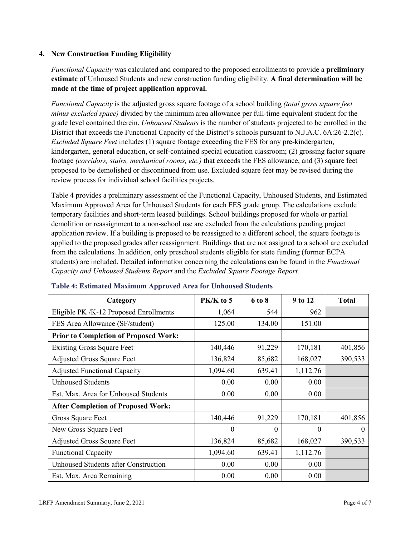### **4. New Construction Funding Eligibility**

*Functional Capacity* was calculated and compared to the proposed enrollments to provide a **preliminary estimate** of Unhoused Students and new construction funding eligibility. **A final determination will be made at the time of project application approval.**

*Functional Capacity* is the adjusted gross square footage of a school building *(total gross square feet minus excluded space)* divided by the minimum area allowance per full-time equivalent student for the grade level contained therein. *Unhoused Students* is the number of students projected to be enrolled in the District that exceeds the Functional Capacity of the District's schools pursuant to N.J.A.C. 6A:26-2.2(c). *Excluded Square Feet* includes (1) square footage exceeding the FES for any pre-kindergarten, kindergarten, general education, or self-contained special education classroom; (2) grossing factor square footage *(corridors, stairs, mechanical rooms, etc.)* that exceeds the FES allowance, and (3) square feet proposed to be demolished or discontinued from use. Excluded square feet may be revised during the review process for individual school facilities projects.

Table 4 provides a preliminary assessment of the Functional Capacity, Unhoused Students, and Estimated Maximum Approved Area for Unhoused Students for each FES grade group. The calculations exclude temporary facilities and short-term leased buildings. School buildings proposed for whole or partial demolition or reassignment to a non-school use are excluded from the calculations pending project application review. If a building is proposed to be reassigned to a different school, the square footage is applied to the proposed grades after reassignment. Buildings that are not assigned to a school are excluded from the calculations. In addition, only preschool students eligible for state funding (former ECPA students) are included. Detailed information concerning the calculations can be found in the *Functional Capacity and Unhoused Students Report* and the *Excluded Square Footage Report.*

| Category                                     | $PK/K$ to 5 | 6 to 8 | 9 to 12  | <b>Total</b> |
|----------------------------------------------|-------------|--------|----------|--------------|
| Eligible PK /K-12 Proposed Enrollments       | 1,064       | 544    | 962      |              |
| FES Area Allowance (SF/student)              | 125.00      | 134.00 | 151.00   |              |
| <b>Prior to Completion of Proposed Work:</b> |             |        |          |              |
| <b>Existing Gross Square Feet</b>            | 140,446     | 91,229 | 170,181  | 401,856      |
| <b>Adjusted Gross Square Feet</b>            | 136,824     | 85,682 | 168,027  | 390,533      |
| <b>Adjusted Functional Capacity</b>          | 1,094.60    | 639.41 | 1,112.76 |              |
| Unhoused Students                            | 0.00        | 0.00   | 0.00     |              |
| Est. Max. Area for Unhoused Students         | 0.00        | 0.00   | 0.00     |              |
| <b>After Completion of Proposed Work:</b>    |             |        |          |              |
| Gross Square Feet                            | 140,446     | 91,229 | 170,181  | 401,856      |
| New Gross Square Feet                        | $\theta$    | 0      | $\theta$ | $\Omega$     |
| <b>Adjusted Gross Square Feet</b>            | 136,824     | 85,682 | 168,027  | 390,533      |
| <b>Functional Capacity</b>                   | 1,094.60    | 639.41 | 1,112.76 |              |
| <b>Unhoused Students after Construction</b>  | 0.00        | 0.00   | 0.00     |              |
| Est. Max. Area Remaining                     | 0.00        | 0.00   | 0.00     |              |

#### **Table 4: Estimated Maximum Approved Area for Unhoused Students**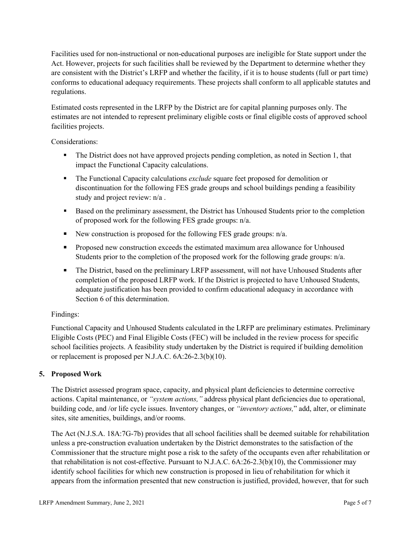Facilities used for non-instructional or non-educational purposes are ineligible for State support under the Act. However, projects for such facilities shall be reviewed by the Department to determine whether they are consistent with the District's LRFP and whether the facility, if it is to house students (full or part time) conforms to educational adequacy requirements. These projects shall conform to all applicable statutes and regulations.

Estimated costs represented in the LRFP by the District are for capital planning purposes only. The estimates are not intended to represent preliminary eligible costs or final eligible costs of approved school facilities projects.

Considerations:

- The District does not have approved projects pending completion, as noted in Section 1, that impact the Functional Capacity calculations.
- **The Functional Capacity calculations** *exclude* square feet proposed for demolition or discontinuation for the following FES grade groups and school buildings pending a feasibility study and project review: n/a .
- Based on the preliminary assessment, the District has Unhoused Students prior to the completion of proposed work for the following FES grade groups: n/a.
- New construction is proposed for the following FES grade groups: n/a.
- Proposed new construction exceeds the estimated maximum area allowance for Unhoused Students prior to the completion of the proposed work for the following grade groups: n/a.
- The District, based on the preliminary LRFP assessment, will not have Unhoused Students after completion of the proposed LRFP work. If the District is projected to have Unhoused Students, adequate justification has been provided to confirm educational adequacy in accordance with Section 6 of this determination.

### Findings:

Functional Capacity and Unhoused Students calculated in the LRFP are preliminary estimates. Preliminary Eligible Costs (PEC) and Final Eligible Costs (FEC) will be included in the review process for specific school facilities projects. A feasibility study undertaken by the District is required if building demolition or replacement is proposed per N.J.A.C. 6A:26-2.3(b)(10).

# **5. Proposed Work**

The District assessed program space, capacity, and physical plant deficiencies to determine corrective actions. Capital maintenance, or *"system actions,"* address physical plant deficiencies due to operational, building code, and /or life cycle issues. Inventory changes, or *"inventory actions,*" add, alter, or eliminate sites, site amenities, buildings, and/or rooms.

The Act (N.J.S.A. 18A:7G-7b) provides that all school facilities shall be deemed suitable for rehabilitation unless a pre-construction evaluation undertaken by the District demonstrates to the satisfaction of the Commissioner that the structure might pose a risk to the safety of the occupants even after rehabilitation or that rehabilitation is not cost-effective. Pursuant to N.J.A.C. 6A:26-2.3(b)(10), the Commissioner may identify school facilities for which new construction is proposed in lieu of rehabilitation for which it appears from the information presented that new construction is justified, provided, however, that for such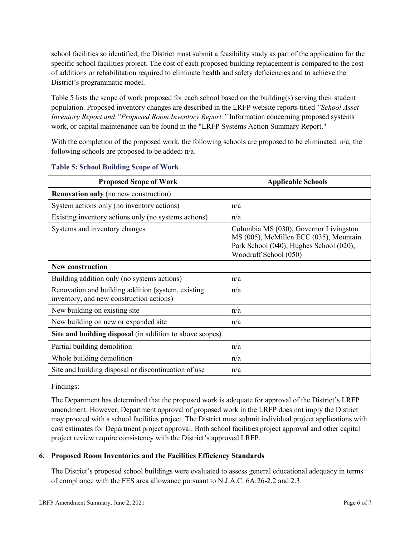school facilities so identified, the District must submit a feasibility study as part of the application for the specific school facilities project. The cost of each proposed building replacement is compared to the cost of additions or rehabilitation required to eliminate health and safety deficiencies and to achieve the District's programmatic model.

Table 5 lists the scope of work proposed for each school based on the building(s) serving their student population. Proposed inventory changes are described in the LRFP website reports titled *"School Asset Inventory Report and "Proposed Room Inventory Report."* Information concerning proposed systems work, or capital maintenance can be found in the "LRFP Systems Action Summary Report."

With the completion of the proposed work, the following schools are proposed to be eliminated: n/a; the following schools are proposed to be added: n/a.

| <b>Proposed Scope of Work</b>                                                                  | <b>Applicable Schools</b>                                                                                                                            |
|------------------------------------------------------------------------------------------------|------------------------------------------------------------------------------------------------------------------------------------------------------|
| <b>Renovation only</b> (no new construction)                                                   |                                                                                                                                                      |
| System actions only (no inventory actions)                                                     | n/a                                                                                                                                                  |
| Existing inventory actions only (no systems actions)                                           | n/a                                                                                                                                                  |
| Systems and inventory changes                                                                  | Columbia MS (030), Governor Livingston<br>MS (005), McMillen ECC (035), Mountain<br>Park School (040), Hughes School (020),<br>Woodruff School (050) |
| <b>New construction</b>                                                                        |                                                                                                                                                      |
| Building addition only (no systems actions)                                                    | n/a                                                                                                                                                  |
| Renovation and building addition (system, existing<br>inventory, and new construction actions) | n/a                                                                                                                                                  |
| New building on existing site                                                                  | n/a                                                                                                                                                  |
| New building on new or expanded site                                                           | n/a                                                                                                                                                  |
| Site and building disposal (in addition to above scopes)                                       |                                                                                                                                                      |
| Partial building demolition                                                                    | n/a                                                                                                                                                  |
| Whole building demolition                                                                      | n/a                                                                                                                                                  |
| Site and building disposal or discontinuation of use                                           | n/a                                                                                                                                                  |

#### **Table 5: School Building Scope of Work**

#### Findings:

The Department has determined that the proposed work is adequate for approval of the District's LRFP amendment. However, Department approval of proposed work in the LRFP does not imply the District may proceed with a school facilities project. The District must submit individual project applications with cost estimates for Department project approval. Both school facilities project approval and other capital project review require consistency with the District's approved LRFP.

### **6. Proposed Room Inventories and the Facilities Efficiency Standards**

The District's proposed school buildings were evaluated to assess general educational adequacy in terms of compliance with the FES area allowance pursuant to N.J.A.C. 6A:26-2.2 and 2.3.